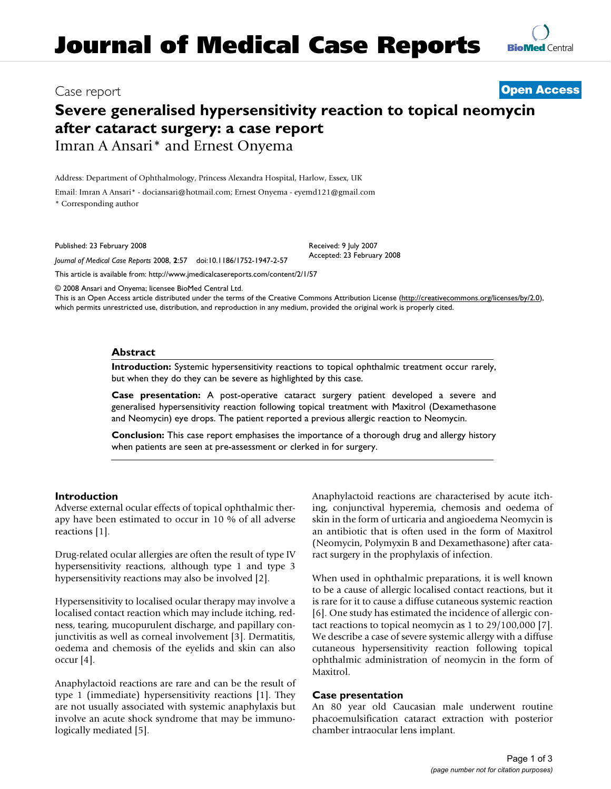# Case report **[Open Access](http://www.biomedcentral.com/info/about/charter/)**

# **Severe generalised hypersensitivity reaction to topical neomycin after cataract surgery: a case report** Imran A Ansari\* and Ernest Onyema

Address: Department of Ophthalmology, Princess Alexandra Hospital, Harlow, Essex, UK

Email: Imran A Ansari\* - dociansari@hotmail.com; Ernest Onyema - eyemd121@gmail.com

\* Corresponding author

Published: 23 February 2008

*Journal of Medical Case Reports* 2008, **2**:57 doi:10.1186/1752-1947-2-57 [This article is available from: http://www.jmedicalcasereports.com/content/2/1/57](http://www.jmedicalcasereports.com/content/2/1/57)

© 2008 Ansari and Onyema; licensee BioMed Central Ltd.

This is an Open Access article distributed under the terms of the Creative Commons Attribution License [\(http://creativecommons.org/licenses/by/2.0\)](http://creativecommons.org/licenses/by/2.0), which permits unrestricted use, distribution, and reproduction in any medium, provided the original work is properly cited.

#### **Abstract**

**Introduction:** Systemic hypersensitivity reactions to topical ophthalmic treatment occur rarely, but when they do they can be severe as highlighted by this case.

Received: 9 July 2007 Accepted: 23 February 2008

**Case presentation:** A post-operative cataract surgery patient developed a severe and generalised hypersensitivity reaction following topical treatment with Maxitrol (Dexamethasone and Neomycin) eye drops. The patient reported a previous allergic reaction to Neomycin.

**Conclusion:** This case report emphasises the importance of a thorough drug and allergy history when patients are seen at pre-assessment or clerked in for surgery.

## **Introduction**

Adverse external ocular effects of topical ophthalmic therapy have been estimated to occur in 10 % of all adverse reactions [1].

Drug-related ocular allergies are often the result of type IV hypersensitivity reactions, although type 1 and type 3 hypersensitivity reactions may also be involved [2].

Hypersensitivity to localised ocular therapy may involve a localised contact reaction which may include itching, redness, tearing, mucopurulent discharge, and papillary conjunctivitis as well as corneal involvement [3]. Dermatitis, oedema and chemosis of the eyelids and skin can also occur [4].

Anaphylactoid reactions are rare and can be the result of type 1 (immediate) hypersensitivity reactions [1]. They are not usually associated with systemic anaphylaxis but involve an acute shock syndrome that may be immunologically mediated [5].

Anaphylactoid reactions are characterised by acute itching, conjunctival hyperemia, chemosis and oedema of skin in the form of urticaria and angioedema Neomycin is an antibiotic that is often used in the form of Maxitrol (Neomycin, Polymyxin B and Dexamethasone) after cataract surgery in the prophylaxis of infection.

When used in ophthalmic preparations, it is well known to be a cause of allergic localised contact reactions, but it is rare for it to cause a diffuse cutaneous systemic reaction [6]. One study has estimated the incidence of allergic contact reactions to topical neomycin as 1 to 29/100,000 [7]. We describe a case of severe systemic allergy with a diffuse cutaneous hypersensitivity reaction following topical ophthalmic administration of neomycin in the form of Maxitrol.

## **Case presentation**

An 80 year old Caucasian male underwent routine phacoemulsification cataract extraction with posterior chamber intraocular lens implant.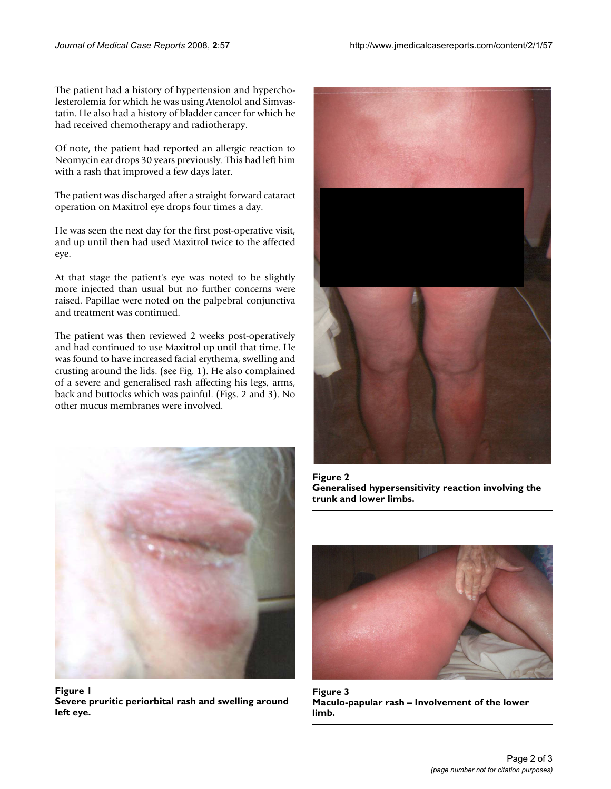The patient had a history of hypertension and hypercholesterolemia for which he was using Atenolol and Simvastatin. He also had a history of bladder cancer for which he had received chemotherapy and radiotherapy.

Of note, the patient had reported an allergic reaction to Neomycin ear drops 30 years previously. This had left him with a rash that improved a few days later.

The patient was discharged after a straight forward cataract operation on Maxitrol eye drops four times a day.

He was seen the next day for the first post-operative visit, and up until then had used Maxitrol twice to the affected eye.

At that stage the patient's eye was noted to be slightly more injected than usual but no further concerns were raised. Papillae were noted on the palpebral conjunctiva and treatment was continued.

The patient was then reviewed 2 weeks post-operatively and had continued to use Maxitrol up until that time. He was found to have increased facial erythema, swelling and crusting around the lids. (see Fig. 1). He also complained of a severe and generalised rash affecting his legs, arms, back and buttocks which was painful. (Figs. 2 and 3). No other mucus membranes were involved.



**Figure 1 Severe pruritic periorbital rash and swelling around left eye.**



Figure 2 **Generalised hypersensitivity reaction involving the trunk and lower limbs.**



**Figure 3 Maculo-papular rash – Involvement of the lower limb.**